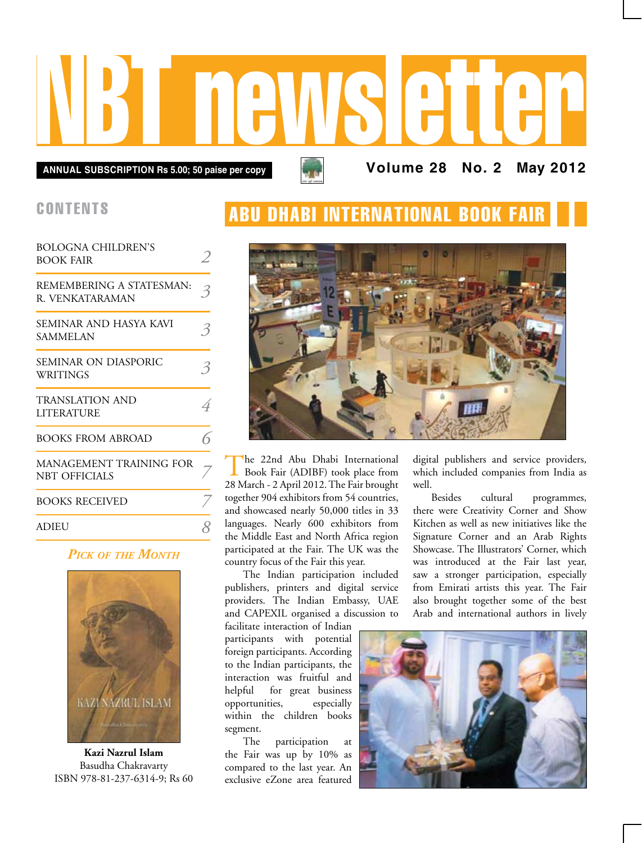# NBT newsletter

**Annual subscription Rs 5.00; 50 paise per copy Volume 28 No. 2 May 2012**

### **CONTENTS**

| <b>BOLOGNA CHILDREN'S</b><br><b>BOOK FAIR</b>   |   |
|-------------------------------------------------|---|
| REMEMBERING A STATESMAN:<br>R. VENKATARAMAN     |   |
| SEMINAR AND HASYA KAVI<br><b>SAMMELAN</b>       |   |
| SEMINAR ON DIASPORIC<br>WRITINGS                |   |
| <b>TRANSLATION AND</b><br><b>LITERATURE</b>     | 4 |
| <b>BOOKS FROM ABROAD</b>                        |   |
| MANAGEMENT TRAINING FOR<br><b>NBT OFFICIALS</b> |   |
| <b>BOOKS RECEIVED</b>                           |   |
| ADIEU                                           |   |

#### *Pick of the Month*



**Kazi Nazrul Islam** Basudha Chakravarty ISBN 978-81-237-6314-9; Rs 60

## **ABU DHABI INTERNATIONAL BOOK FAI**



The 22nd Abu Dhabi International Book Fair (ADIBF) took place from 28 March - 2 April 2012. The Fair brought together 904 exhibitors from 54 countries, and showcased nearly 50,000 titles in 33 languages. Nearly 600 exhibitors from the Middle East and North Africa region participated at the Fair. The UK was the country focus of the Fair this year.

The Indian participation included publishers, printers and digital service providers. The Indian Embassy, UAE and CAPEXIL organised a discussion to

facilitate interaction of Indian participants with potential foreign participants. According to the Indian participants, the interaction was fruitful and helpful for great business opportunities, especially within the children books segment.

The participation at the Fair was up by 10% as compared to the last year. An exclusive eZone area featured digital publishers and service providers, which included companies from India as well.

Besides cultural programmes, there were Creativity Corner and Show Kitchen as well as new initiatives like the Signature Corner and an Arab Rights Showcase. The Illustrators' Corner, which was introduced at the Fair last year, saw a stronger participation, especially from Emirati artists this year. The Fair also brought together some of the best Arab and international authors in lively

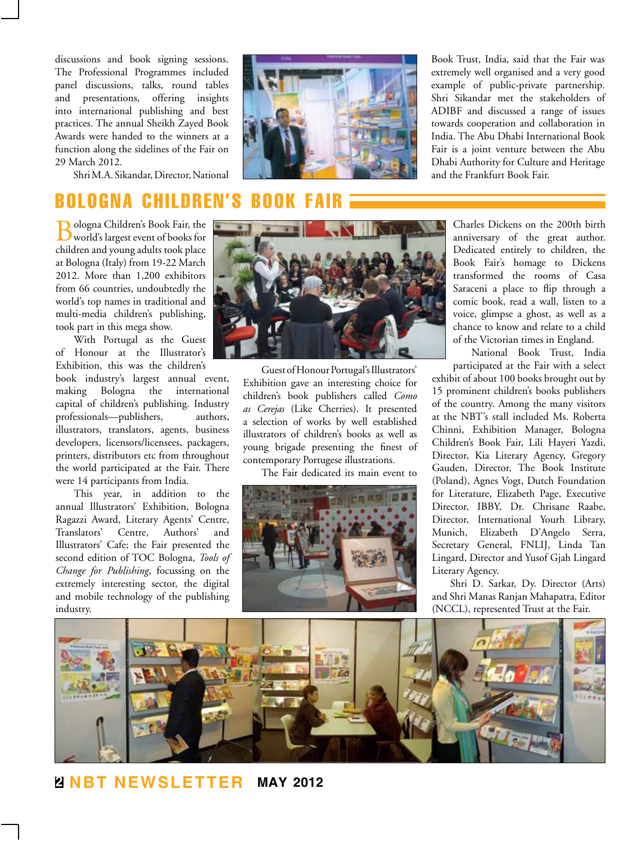discussions and book signing sessions. The Professional Programmes included panel discussions, talks, round tables and presentations, offering insights into international publishing and best practices. The annual Sheikh Zayed Book Awards were handed to the winners at a function along the sidelines of the Fair on 29 March 2012.

Shri M.A. Sikandar, Director, National

## Bologna Children's Book Fair

Bologna Children's Book Fair, the world's largest event of books for children and young adults took place at Bologna (Italy) from 19-22 March 2012. More than 1,200 exhibitors from 66 countries, undoubtedly the world's top names in traditional and multi-media children's publishing, took part in this mega show.

With Portugal as the Guest of Honour at the Illustrator's Exhibition, this was the children's

book industry's largest annual event, making Bologna the international capital of children's publishing. Industry professionals—publishers, authors, illustrators, translators, agents, business developers, licensors/licensees, packagers, printers, distributors etc from throughout the world participated at the Fair. There were 14 participants from India.

This year, in addition to the annual Illustrators' Exhibition, Bologna Ragazzi Award, Literary Agents' Centre, Translators' Centre, Authors' and Illustrators' Cafe; the Fair presented the second edition of TOC Bologna, *Tools of Change for Publishing*, focussing on the extremely interesting sector, the digital and mobile technology of the publishing industry.



Guest of Honour Portugal's Illustrators' Exhibition gave an interesting choice for children's book publishers called *Como as Cerejas* (Like Cherries). It presented a selection of works by well established illustrators of children's books as well as young brigade presenting the finest of contemporary Portugese illustrations.

The Fair dedicated its main event to



Book Trust, India, said that the Fair was extremely well organised and a very good example of public-private partnership. Shri Sikandar met the stakeholders of ADIBF and discussed a range of issues towards cooperation and collaboration in India. The Abu Dhabi International Book Fair is a joint venture between the Abu Dhabi Authority for Culture and Heritage and the Frankfurt Book Fair.

> Charles Dickens on the 200th birth anniversary of the great author. Dedicated entirely to children, the Book Fair's homage to Dickens transformed the rooms of Casa Saraceni a place to flip through a comic book, read a wall, listen to a voice, glimpse a ghost, as well as a chance to know and relate to a child of the Victorian times in England.

> National Book Trust, India participated at the Fair with a select

exhibit of about 100 books brought out by 15 prominent children's books publishers of the country. Among the many visitors at the NBT's stall included Ms. Roberta Chinni, Exhibition Manager, Bologna Children's Book Fair, Lili Hayeri Yazdi, Director, Kia Literary Agency, Gregory Gauden, Director, The Book Institute (Poland), Agnes Vogt, Dutch Foundation for Literature, Elizabeth Page, Executive Director, IBBY, Dr. Chrisane Raabe, Director, International Yourh Library, Munich, Elizabeth D'Angelo Serra, Secretary General, FNLIJ, Linda Tan Lingard, Director and Yusof Gjah Lingard Literary Agency.

Shri D. Sarkar, Dy. Director (Arts) and Shri Manas Ranjan Mahapatra, Editor (NCCL), represented Trust at the Fair.

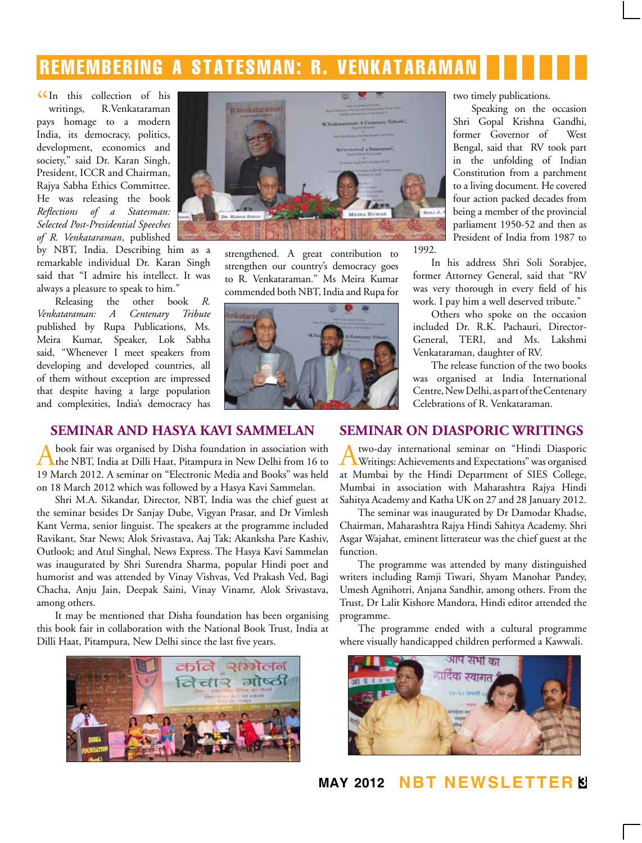## remembering a statesman: R. VENKATARAMAN

CIn this collection of his<br>writings, R.Venkataraman writings, R.Venkataraman pays homage to a modern India, its democracy, politics, development, economics and society," said Dr. Karan Singh, President, ICCR and Chairman, Rajya Sabha Ethics Committee. He was releasing the book *Reflections of a Statesman: Selected Post-Presidential Speeches of R. Venkataraman*, published

by NBT, India. Describing him as a remarkable individual Dr. Karan Singh said that "I admire his intellect. It was always a pleasure to speak to him."

Releasing the other book *R. Venkataraman: A Centenary Tribute* published by Rupa Publications, Ms. Meira Kumar, Speaker, Lok Sabha said, "Whenever I meet speakers from developing and developed countries, all of them without exception are impressed that despite having a large population and complexities, India's democracy has



strengthened. A great contribution to strengthen our country's democracy goes to R. Venkataraman." Ms Meira Kumar commended both NBT, India and Rupa for



two timely publications.

Speaking on the occasion Shri Gopal Krishna Gandhi, former Governor of West Bengal, said that RV took part in the unfolding of Indian Constitution from a parchment to a living document. He covered four action packed decades from being a member of the provincial parliament 1950-52 and then as President of India from 1987 to

In his address Shri Soli Sorabjee, former Attorney General, said that "RV was very thorough in every field of his work. I pay him a well deserved tribute."

Others who spoke on the occasion included Dr. R.K. Pachauri, Director-General, TERI, and Ms. Lakshmi Venkataraman, daughter of RV.

The release function of the two books was organised at India International Centre, New Delhi, as part of the Centenary Celebrations of R. Venkataraman.

#### **Seminar and Hasya Kavi Sammelan**

book fair was organised by Disha foundation in association with the NBT, India at Dilli Haat, Pitampura in New Delhi from 16 to 19 March 2012. A seminar on "Electronic Media and Books" was held on 18 March 2012 which was followed by a Hasya Kavi Sammelan.

Shri M.A. Sikandar, Director, NBT, India was the chief guest at the seminar besides Dr Sanjay Dube, Vigyan Prasar, and Dr Vimlesh Kant Verma, senior linguist. The speakers at the programme included Ravikant, Star News; Alok Srivastava, Aaj Tak; Akanksha Pare Kashiv, Outlook; and Atul Singhal, News Express. The Hasya Kavi Sammelan was inaugurated by Shri Surendra Sharma, popular Hindi poet and humorist and was attended by Vinay Vishvas, Ved Prakash Ved, Bagi Chacha, Anju Jain, Deepak Saini, Vinay Vinamr, Alok Srivastava, among others.

It may be mentioned that Disha foundation has been organising this book fair in collaboration with the National Book Trust, India at Dilli Haat, Pitampura, New Delhi since the last five years.



#### **Seminar on Diasporic Writings**

Atwo-day international seminar on "Hindi Diasporic Writings: Achievements and Expectations" was organised at Mumbai by the Hindi Department of SIES College, Mumbai in association with Maharashtra Rajya Hindi Sahitya Academy and Katha UK on 27 and 28 January 2012.

The seminar was inaugurated by Dr Damodar Khadse, Chairman, Maharashtra Rajya Hindi Sahitya Academy. Shri Asgar Wajahat, eminent litterateur was the chief guest at the function.

The programme was attended by many distinguished writers including Ramji Tiwari, Shyam Manohar Pandey, Umesh Agnihotri, Anjana Sandhir, among others. From the Trust, Dr Lalit Kishore Mandora, Hindi editor attended the programme.

The programme ended with a cultural programme where visually handicapped children performed a Kawwali.



**may 2012 NBT Newsletter 3**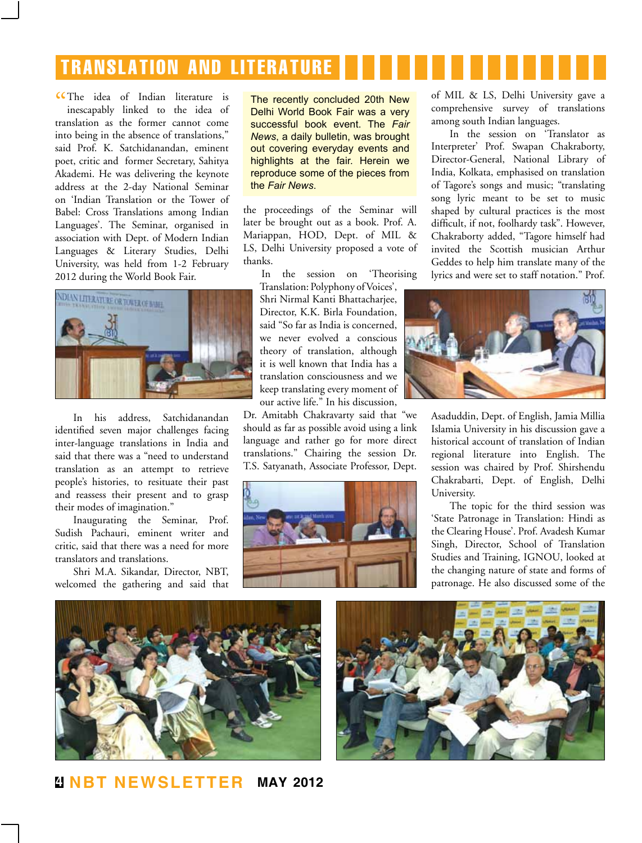# translation and literature

CThe idea of Indian literature is<br>inescapably linked to the idea of inescapably linked to the idea of translation as the former cannot come into being in the absence of translations," said Prof. K. Satchidanandan, eminent poet, critic and former Secretary, Sahitya Akademi. He was delivering the keynote address at the 2-day National Seminar on 'Indian Translation or the Tower of Babel: Cross Translations among Indian Languages'. The Seminar, organised in association with Dept. of Modern Indian Languages & Literary Studies, Delhi University, was held from 1-2 February 2012 during the World Book Fair.



In his address, Satchidanandan identified seven major challenges facing inter-language translations in India and said that there was a "need to understand translation as an attempt to retrieve people's histories, to resituate their past and reassess their present and to grasp their modes of imagination."

Inaugurating the Seminar, Prof. Sudish Pachauri, eminent writer and critic, said that there was a need for more translators and translations.

Shri M.A. Sikandar, Director, NBT, welcomed the gathering and said that The recently concluded 20th New Delhi World Book Fair was a very successful book event. The *Fair News*, a daily bulletin, was brought out covering everyday events and highlights at the fair. Herein we reproduce some of the pieces from the *Fair News*.

the proceedings of the Seminar will later be brought out as a book. Prof. A. Mariappan, HOD, Dept. of MIL & LS, Delhi University proposed a vote of thanks.

In the session on 'Theorising Translation: Polyphony of Voices',

Shri Nirmal Kanti Bhattacharjee, Director, K.K. Birla Foundation, said "So far as India is concerned, we never evolved a conscious theory of translation, although it is well known that India has a translation consciousness and we keep translating every moment of our active life." In his discussion,

Dr. Amitabh Chakravarty said that "we should as far as possible avoid using a link language and rather go for more direct translations." Chairing the session Dr. T.S. Satyanath, Associate Professor, Dept.



of MIL & LS, Delhi University gave a comprehensive survey of translations among south Indian languages.

In the session on 'Translator as Interpreter' Prof. Swapan Chakraborty, Director-General, National Library of India, Kolkata, emphasised on translation of Tagore's songs and music; "translating song lyric meant to be set to music shaped by cultural practices is the most difficult, if not, foolhardy task". However, Chakraborty added, "Tagore himself had invited the Scottish musician Arthur Geddes to help him translate many of the lyrics and were set to staff notation." Prof.



Asaduddin, Dept. of English, Jamia Millia Islamia University in his discussion gave a historical account of translation of Indian regional literature into English. The session was chaired by Prof. Shirshendu Chakrabarti, Dept. of English, Delhi University.

The topic for the third session was 'State Patronage in Translation: Hindi as the Clearing House'. Prof. Avadesh Kumar Singh, Director, School of Translation Studies and Training, IGNOU, looked at the changing nature of state and forms of patronage. He also discussed some of the



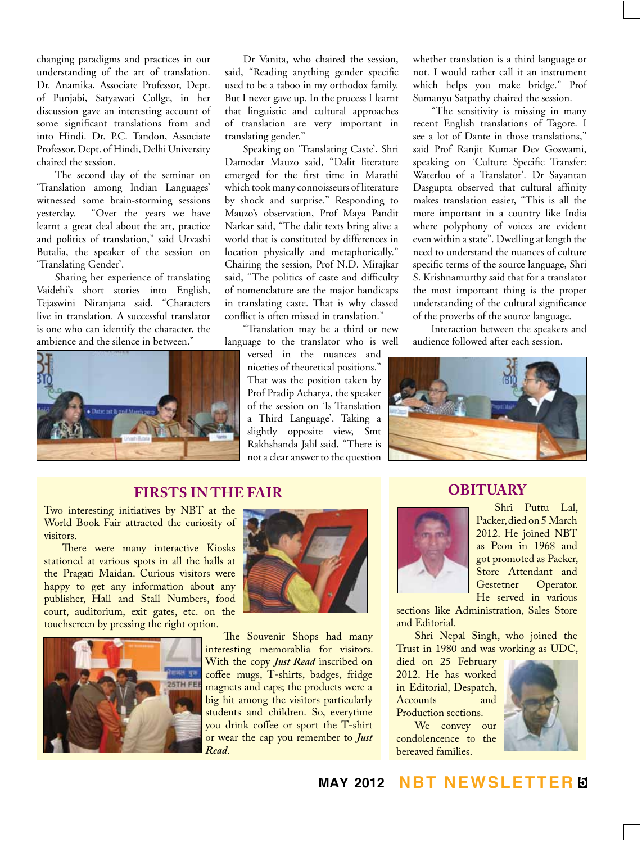changing paradigms and practices in our understanding of the art of translation. Dr. Anamika, Associate Professor, Dept. of Punjabi, Satyawati Collge, in her discussion gave an interesting account of some significant translations from and into Hindi. Dr. P.C. Tandon, Associate Professor, Dept. of Hindi, Delhi University chaired the session.

The second day of the seminar on 'Translation among Indian Languages' witnessed some brain-storming sessions yesterday. "Over the years we have learnt a great deal about the art, practice and politics of translation," said Urvashi Butalia, the speaker of the session on 'Translating Gender'.

Sharing her experience of translating Vaidehi's short stories into English, Tejaswini Niranjana said, "Characters live in translation. A successful translator is one who can identify the character, the ambience and the silence in between."



Dr Vanita, who chaired the session, said, "Reading anything gender specific used to be a taboo in my orthodox family. But I never gave up. In the process I learnt that linguistic and cultural approaches of translation are very important in translating gender."

Speaking on 'Translating Caste', Shri Damodar Mauzo said, "Dalit literature emerged for the first time in Marathi which took many connoisseurs of literature by shock and surprise." Responding to Mauzo's observation, Prof Maya Pandit Narkar said, "The dalit texts bring alive a world that is constituted by differences in location physically and metaphorically." Chairing the session, Prof N.D. Mirajkar said, "The politics of caste and difficulty of nomenclature are the major handicaps in translating caste. That is why classed conflict is often missed in translation."

"Translation may be a third or new language to the translator who is well

> versed in the nuances and niceties of theoretical positions." That was the position taken by Prof Pradip Acharya, the speaker of the session on 'Is Translation a Third Language'. Taking a slightly opposite view, Smt Rakhshanda Jalil said, "There is not a clear answer to the question

whether translation is a third language or not. I would rather call it an instrument which helps you make bridge." Prof Sumanyu Satpathy chaired the session.

"The sensitivity is missing in many recent English translations of Tagore. I see a lot of Dante in those translations," said Prof Ranjit Kumar Dev Goswami, speaking on 'Culture Specific Transfer: Waterloo of a Translator'. Dr Sayantan Dasgupta observed that cultural affinity makes translation easier, "This is all the more important in a country like India where polyphony of voices are evident even within a state". Dwelling at length the need to understand the nuances of culture specific terms of the source language, Shri S. Krishnamurthy said that for a translator the most important thing is the proper understanding of the cultural significance of the proverbs of the source language.

Interaction between the speakers and audience followed after each session.



#### **Firsts in the Fair**

Two interesting initiatives by NBT at the World Book Fair attracted the curiosity of visitors.

There were many interactive Kiosks stationed at various spots in all the halls at the Pragati Maidan. Curious visitors were happy to get any information about any publisher, Hall and Stall Numbers, food court, auditorium, exit gates, etc. on the touchscreen by pressing the right option.





The Souvenir Shops had many interesting memorablia for visitors. With the copy *Just Read* inscribed on coffee mugs, T-shirts, badges, fridge magnets and caps; the products were a big hit among the visitors particularly students and children. So, everytime you drink coffee or sport the T-shirt or wear the cap you remember to *Just Read*.

#### **OBITUARY**



Shri Puttu Lal, Packer, died on 5 March 2012. He joined NBT as Peon in 1968 and got promoted as Packer, Store Attendant and<br>Gestetner Operator. Operator. He served in various

sections like Administration, Sales Store and Editorial.

Shri Nepal Singh, who joined the Trust in 1980 and was working as UDC,

died on 25 February 2012. He has worked in Editorial, Despatch, **Accounts** Production sections.

We convey our condolencence to the bereaved families.



#### **may 2012 NBT Newsletter 5**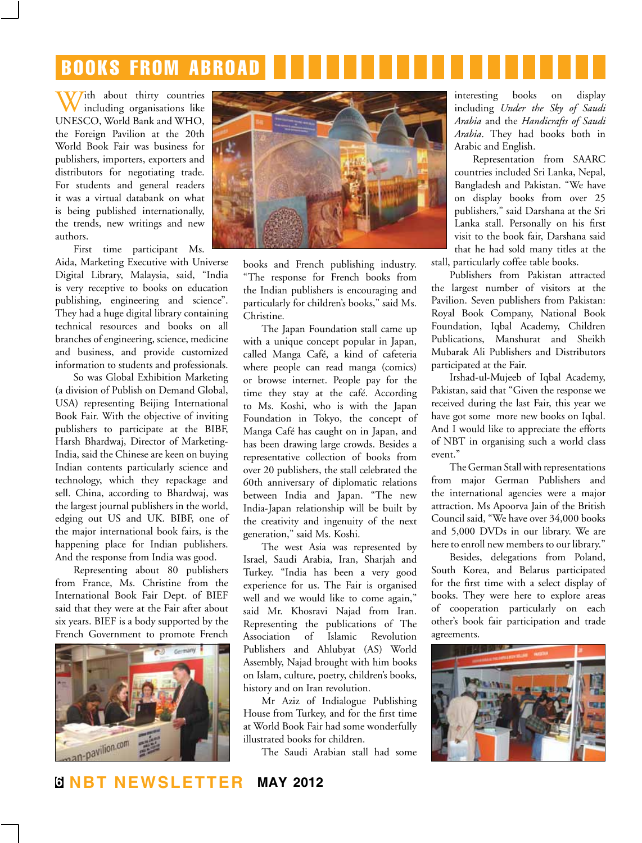# books from abroad

With about thirty countries including organisations like UNESCO, World Bank and WHO, the Foreign Pavilion at the 20th World Book Fair was business for publishers, importers, exporters and distributors for negotiating trade. For students and general readers it was a virtual databank on what is being published internationally, the trends, new writings and new authors.

First time participant Ms. Aida, Marketing Executive with Universe Digital Library, Malaysia, said, "India is very receptive to books on education publishing, engineering and science". They had a huge digital library containing technical resources and books on all branches of engineering, science, medicine and business, and provide customized information to students and professionals.

So was Global Exhibition Marketing (a division of Publish on Demand Global, USA) representing Beijing International Book Fair. With the objective of inviting publishers to participate at the BIBF, Harsh Bhardwaj, Director of Marketing-India, said the Chinese are keen on buying Indian contents particularly science and technology, which they repackage and sell. China, according to Bhardwaj, was the largest journal publishers in the world, edging out US and UK. BIBF, one of the major international book fairs, is the happening place for Indian publishers. And the response from India was good.

Representing about 80 publishers from France, Ms. Christine from the International Book Fair Dept. of BIEF said that they were at the Fair after about six years. BIEF is a body supported by the French Government to promote French





books and French publishing industry. "The response for French books from the Indian publishers is encouraging and particularly for children's books," said Ms. Christine.

The Japan Foundation stall came up with a unique concept popular in Japan, called Manga Café, a kind of cafeteria where people can read manga (comics) or browse internet. People pay for the time they stay at the café. According to Ms. Koshi, who is with the Japan Foundation in Tokyo, the concept of Manga Café has caught on in Japan, and has been drawing large crowds. Besides a representative collection of books from over 20 publishers, the stall celebrated the 60th anniversary of diplomatic relations between India and Japan. "The new India-Japan relationship will be built by the creativity and ingenuity of the next generation," said Ms. Koshi.

The west Asia was represented by Israel, Saudi Arabia, Iran, Sharjah and Turkey. "India has been a very good experience for us. The Fair is organised well and we would like to come again," said Mr. Khosravi Najad from Iran. Representing the publications of The Association of Islamic Revolution Publishers and Ahlubyat (AS) World Assembly, Najad brought with him books on Islam, culture, poetry, children's books, history and on Iran revolution.

Mr Aziz of Indialogue Publishing House from Turkey, and for the first time at World Book Fair had some wonderfully illustrated books for children.

The Saudi Arabian stall had some

interesting books on display including *Under the Sky of Saudi Arabia* and the *Handicrafts of Saudi Arabia*. They had books both in Arabic and English.

Representation from SAARC countries included Sri Lanka, Nepal, Bangladesh and Pakistan. "We have on display books from over 25 publishers," said Darshana at the Sri Lanka stall. Personally on his first visit to the book fair, Darshana said that he had sold many titles at the stall, particularly coffee table books.

Publishers from Pakistan attracted the largest number of visitors at the Pavilion. Seven publishers from Pakistan: Royal Book Company, National Book Foundation, Iqbal Academy, Children Publications, Manshurat and Sheikh Mubarak Ali Publishers and Distributors participated at the Fair.

Irshad-ul-Mujeeb of Iqbal Academy, Pakistan, said that "Given the response we received during the last Fair, this year we have got some more new books on Iqbal. And I would like to appreciate the efforts of NBT in organising such a world class event."

The German Stall with representations from major German Publishers and the international agencies were a major attraction. Ms Apoorva Jain of the British Council said, "We have over 34,000 books and 5,000 DVDs in our library. We are here to enroll new members to our library."

Besides, delegations from Poland, South Korea, and Belarus participated for the first time with a select display of books. They were here to explore areas of cooperation particularly on each other's book fair participation and trade agreements.

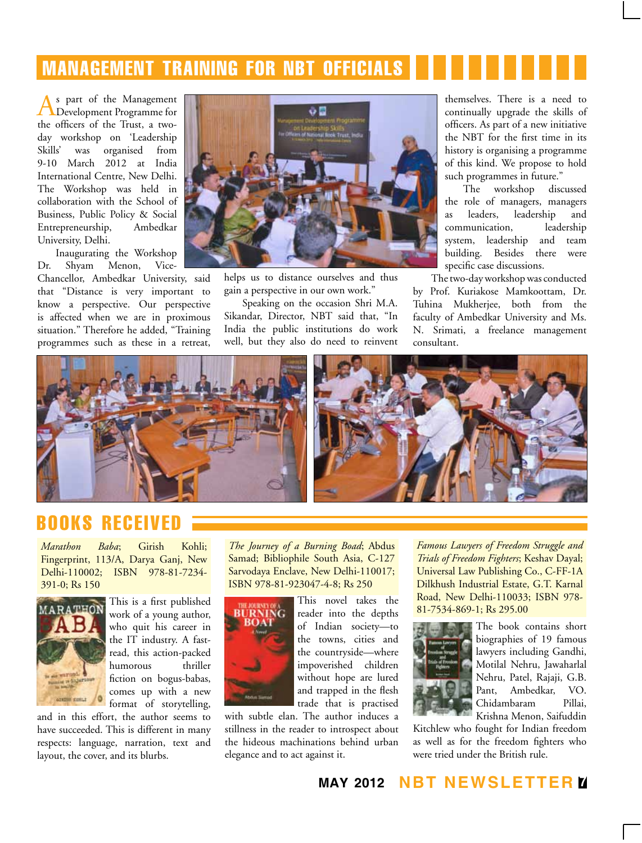# management training for nbt officials

As part of the Management<br>Development Programme for the officers of the Trust, a twoday workshop on 'Leadership Skills' was organised from 9-10 March 2012 at India International Centre, New Delhi. The Workshop was held in collaboration with the School of Business, Public Policy & Social Entrepreneurship, Ambedkar University, Delhi.

Inaugurating the Workshop Dr. Shyam Menon, Vice-

Chancellor, Ambedkar University, said that "Distance is very important to know a perspective. Our perspective is affected when we are in proximous situation." Therefore he added, "Training programmes such as these in a retreat,



helps us to distance ourselves and thus gain a perspective in our own work."

Speaking on the occasion Shri M.A. Sikandar, Director, NBT said that, "In India the public institutions do work well, but they also do need to reinvent themselves. There is a need to continually upgrade the skills of officers. As part of a new initiative the NBT for the first time in its history is organising a programme of this kind. We propose to hold such programmes in future."

The workshop discussed the role of managers, managers as leaders, leadership and communication, leadership system, leadership and team building. Besides there were specific case discussions.

The two-day workshop was conducted by Prof. Kuriakose Mamkoottam, Dr. Tuhina Mukherjee, both from the faculty of Ambedkar University and Ms. N. Srimati, a freelance management consultant.



## books received

*Marathon Baba*; Girish Kohli; Fingerprint, 113/A, Darya Ganj, New Delhi-110002; ISBN 978-81-7234- 391-0; Rs 150



This is a first published work of a young author, who quit his career in the IT industry. A fastread, this action-packed humorous thriller fiction on bogus-babas, comes up with a new format of storytelling,

and in this effort, the author seems to have succeeded. This is different in many respects: language, narration, text and layout, the cover, and its blurbs.

*The Journey of a Burning Boad*; Abdus Samad; Bibliophile South Asia, C-127 Sarvodaya Enclave, New Delhi-110017; ISBN 978-81-923047-4-8; Rs 250



This novel takes the reader into the depths of Indian society—to the towns, cities and the countryside—where impoverished children without hope are lured and trapped in the flesh

trade that is practised with subtle elan. The author induces a stillness in the reader to introspect about the hideous machinations behind urban elegance and to act against it.

*Famous Lawyers of Freedom Struggle and Trials of Freedom Fighters*; Keshav Dayal; Universal Law Publishing Co., C-FF-1A Dilkhush Industrial Estate, G.T. Karnal Road, New Delhi-110033; ISBN 978- 81-7534-869-1; Rs 295.00



The book contains short biographies of 19 famous lawyers including Gandhi, Motilal Nehru, Jawaharlal Nehru, Patel, Rajaji, G.B. Pant, Ambedkar, VO. Chidambaram Pillai, Krishna Menon, Saifuddin

Kitchlew who fought for Indian freedom as well as for the freedom fighters who were tried under the British rule.

**may 2012 NBT Newsletter 7**